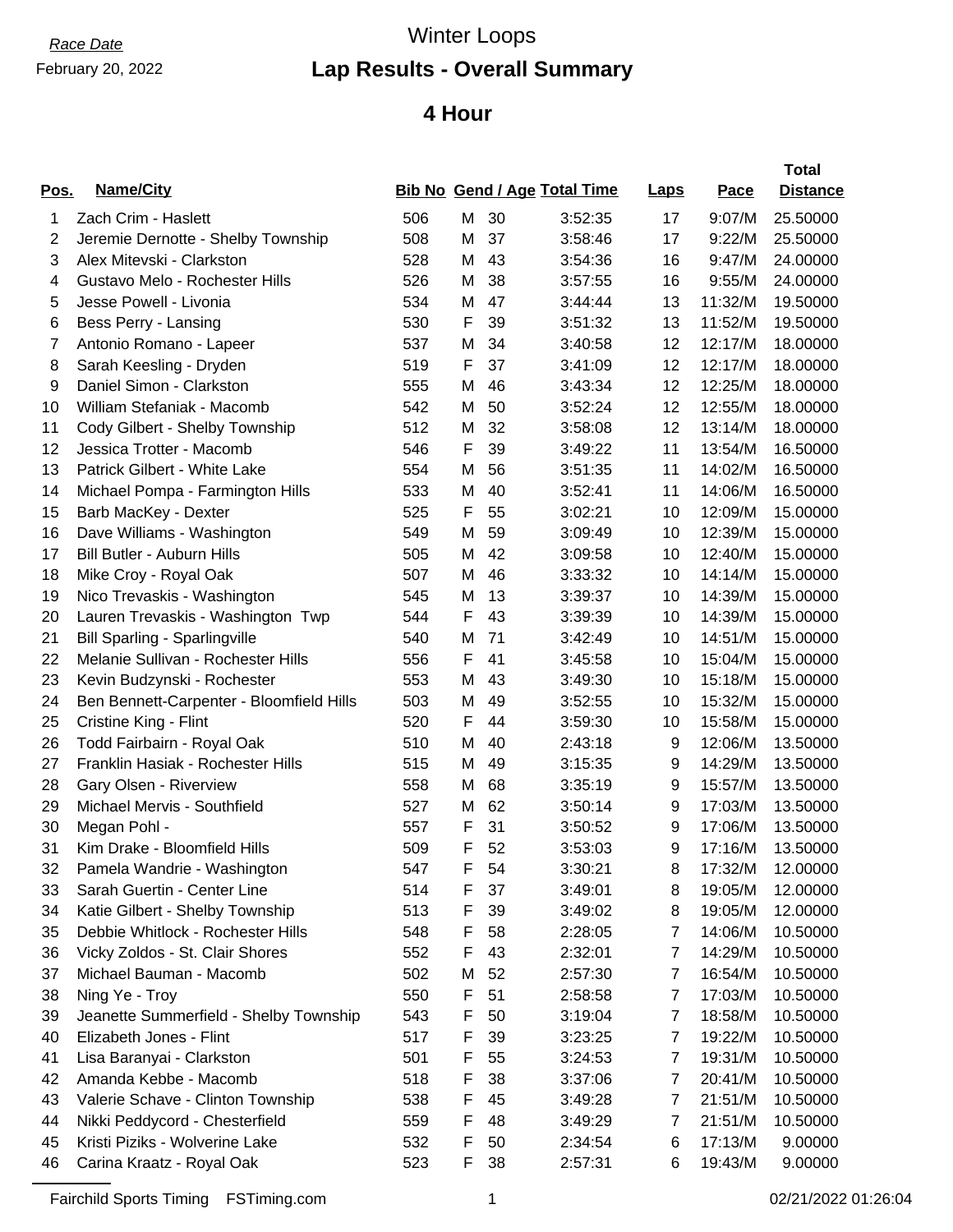# February 20, 2022

# *Race Date* Winter Loops

### **Lap Results - Overall Summary**

#### **4 Hour**

| Pos. | <b>Name/City</b>                         |     |   |    | <b>Bib No Gend / Age Total Time</b> | <b>Laps</b> | <u>Pace</u> | <b>Total</b><br><b>Distance</b> |
|------|------------------------------------------|-----|---|----|-------------------------------------|-------------|-------------|---------------------------------|
| 1    | Zach Crim - Haslett                      | 506 | Μ | 30 | 3:52:35                             | 17          | 9:07/M      | 25.50000                        |
| 2    | Jeremie Dernotte - Shelby Township       | 508 | M | 37 | 3:58:46                             | 17          | 9:22/M      | 25.50000                        |
| 3    | Alex Mitevski - Clarkston                | 528 | M | 43 | 3:54:36                             | 16          | 9:47/M      | 24.00000                        |
| 4    | Gustavo Melo - Rochester Hills           | 526 | M | 38 | 3:57:55                             | 16          | 9:55/M      | 24.00000                        |
| 5    | Jesse Powell - Livonia                   | 534 | M | 47 | 3:44:44                             | 13          | 11:32/M     | 19.50000                        |
| 6    | Bess Perry - Lansing                     | 530 | F | 39 | 3:51:32                             | 13          | 11:52/M     | 19.50000                        |
| 7    | Antonio Romano - Lapeer                  | 537 | M | 34 | 3:40:58                             | 12          | 12:17/M     | 18.00000                        |
| 8    | Sarah Keesling - Dryden                  | 519 | F | 37 | 3:41:09                             | 12          | 12:17/M     | 18.00000                        |
| 9    | Daniel Simon - Clarkston                 | 555 | M | 46 | 3:43:34                             | 12          | 12:25/M     | 18.00000                        |
| 10   | William Stefaniak - Macomb               | 542 | M | 50 | 3:52:24                             | 12          | 12:55/M     | 18.00000                        |
| 11   | Cody Gilbert - Shelby Township           | 512 | M | 32 | 3:58:08                             | 12          | 13:14/M     | 18.00000                        |
| 12   | Jessica Trotter - Macomb                 | 546 | F | 39 | 3:49:22                             | 11          | 13:54/M     | 16.50000                        |
| 13   | Patrick Gilbert - White Lake             | 554 | M | 56 | 3:51:35                             | 11          | 14:02/M     | 16.50000                        |
| 14   | Michael Pompa - Farmington Hills         | 533 | M | 40 | 3:52:41                             | 11          | 14:06/M     | 16.50000                        |
| 15   | Barb MacKey - Dexter                     | 525 | F | 55 | 3:02:21                             | 10          | 12:09/M     | 15.00000                        |
| 16   | Dave Williams - Washington               | 549 | M | 59 | 3:09:49                             | 10          | 12:39/M     | 15.00000                        |
| 17   | <b>Bill Butler - Auburn Hills</b>        | 505 | M | 42 | 3:09:58                             | 10          | 12:40/M     | 15.00000                        |
| 18   | Mike Croy - Royal Oak                    | 507 | M | 46 | 3:33:32                             | 10          | 14:14/M     | 15.00000                        |
| 19   | Nico Trevaskis - Washington              | 545 | M | 13 | 3:39:37                             | 10          | 14:39/M     | 15.00000                        |
| 20   | Lauren Trevaskis - Washington Twp        | 544 | F | 43 | 3:39:39                             | 10          | 14:39/M     | 15.00000                        |
| 21   | <b>Bill Sparling - Sparlingville</b>     | 540 | M | 71 | 3:42:49                             | 10          | 14:51/M     | 15.00000                        |
| 22   | Melanie Sullivan - Rochester Hills       | 556 | F | 41 | 3:45:58                             | 10          | 15:04/M     | 15.00000                        |
| 23   | Kevin Budzynski - Rochester              | 553 | M | 43 | 3:49:30                             | 10          | 15:18/M     | 15.00000                        |
| 24   | Ben Bennett-Carpenter - Bloomfield Hills | 503 | M | 49 | 3:52:55                             | 10          | 15:32/M     | 15.00000                        |
| 25   | Cristine King - Flint                    | 520 | F | 44 | 3:59:30                             | 10          | 15:58/M     | 15.00000                        |
| 26   | Todd Fairbairn - Royal Oak               | 510 | M | 40 | 2:43:18                             | 9           | 12:06/M     | 13.50000                        |
| 27   | Franklin Hasiak - Rochester Hills        | 515 | M | 49 | 3:15:35                             | 9           | 14:29/M     | 13.50000                        |
| 28   | Gary Olsen - Riverview                   | 558 | M | 68 | 3:35:19                             | 9           | 15:57/M     | 13.50000                        |
| 29   | Michael Mervis - Southfield              | 527 | M | 62 | 3:50:14                             | 9           | 17:03/M     | 13.50000                        |
| 30   | Megan Pohl -                             | 557 | F | 31 | 3:50:52                             | 9           | 17:06/M     | 13.50000                        |
| 31   | Kim Drake - Bloomfield Hills             | 509 | F | 52 | 3:53:03                             | 9           | 17:16/M     | 13.50000                        |
| 32   | Pamela Wandrie - Washington              | 547 | F | 54 | 3:30:21                             | 8           | 17:32/M     | 12.00000                        |
| 33   | Sarah Guertin - Center Line              | 514 | F | 37 | 3:49:01                             | 8           | 19:05/M     | 12.00000                        |
| 34   | Katie Gilbert - Shelby Township          | 513 | F | 39 | 3:49:02                             | 8           | 19:05/M     | 12.00000                        |
| 35   | Debbie Whitlock - Rochester Hills        | 548 | F | 58 | 2:28:05                             | 7           | 14:06/M     | 10.50000                        |
| 36   | Vicky Zoldos - St. Clair Shores          | 552 | F | 43 | 2:32:01                             | 7           | 14:29/M     | 10.50000                        |
| 37   | Michael Bauman - Macomb                  | 502 | M | 52 | 2:57:30                             | 7           | 16:54/M     | 10.50000                        |
| 38   | Ning Ye - Troy                           | 550 | F | 51 | 2:58:58                             | 7           | 17:03/M     | 10.50000                        |
| 39   | Jeanette Summerfield - Shelby Township   | 543 | F | 50 | 3:19:04                             | 7           | 18:58/M     | 10.50000                        |
| 40   | Elizabeth Jones - Flint                  | 517 | F | 39 | 3:23:25                             | 7           | 19:22/M     | 10.50000                        |
| 41   | Lisa Baranyai - Clarkston                | 501 | F | 55 | 3:24:53                             | 7           | 19:31/M     | 10.50000                        |
| 42   | Amanda Kebbe - Macomb                    | 518 | F | 38 | 3:37:06                             | 7           | 20:41/M     | 10.50000                        |
| 43   | Valerie Schave - Clinton Township        | 538 | F | 45 | 3:49:28                             | 7           | 21:51/M     | 10.50000                        |
| 44   | Nikki Peddycord - Chesterfield           | 559 | F | 48 | 3:49:29                             | 7           | 21:51/M     | 10.50000                        |
| 45   | Kristi Piziks - Wolverine Lake           | 532 | F | 50 | 2:34:54                             | 6           | 17:13/M     | 9.00000                         |
| 46   | Carina Kraatz - Royal Oak                | 523 | F | 38 | 2:57:31                             | 6           | 19:43/M     | 9.00000                         |
|      |                                          |     |   |    |                                     |             |             |                                 |

Fairchild Sports Timing FSTiming.com 1 02/21/2022 01:26:04